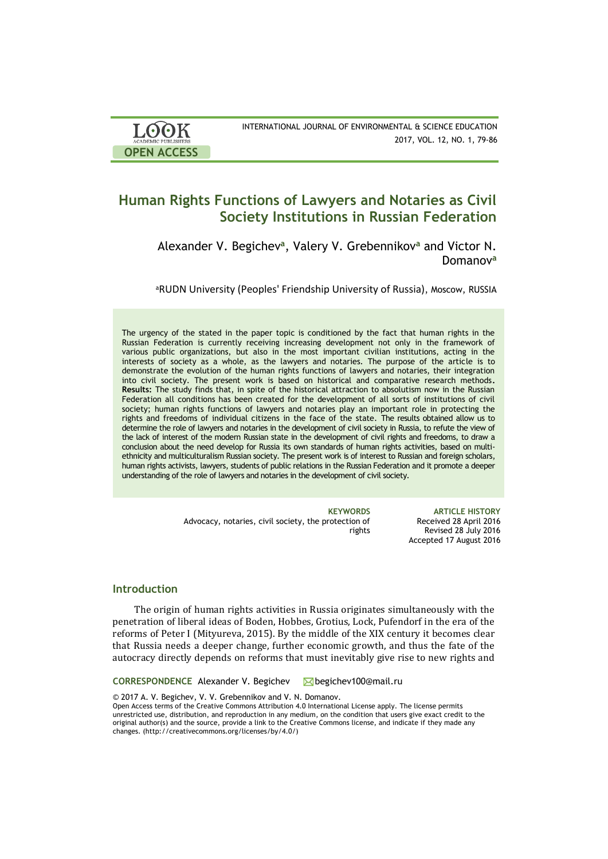| <b>LOOK</b>                | INTERNATIONAL JOURNAL OF ENVIRONMENTAL & SCIENCE EDUCATION |
|----------------------------|------------------------------------------------------------|
| <b>ACADEMIC PUBLISHERS</b> | 2017, VOL. 12, NO. 1, 79-86                                |
| <b>OPEN ACCESS</b>         |                                                            |

# **Human Rights Functions of Lawyers and Notaries as Civil Society Institutions in Russian Federation**

Alexander V. Begichev**<sup>a</sup>** , Valery V. Grebennikov**<sup>a</sup>** and Victor N. Domanov**<sup>a</sup>**

<sup>a</sup>RUDN University (Peoples' Friendship University of Russia), Moscow, RUSSIA

The urgency of the stated in the paper topic is conditioned by the fact that human rights in the Russian Federation is currently receiving increasing development not only in the framework of various public organizations, but also in the most important civilian institutions, acting in the interests of society as a whole, as the lawyers and notaries. The purpose of the article is to demonstrate the evolution of the human rights functions of lawyers and notaries, their integration into civil society. The present work is based on historical and comparative research methods**. Results:** The study finds that, in spite of the historical attraction to absolutism now in the Russian Federation all conditions has been created for the development of all sorts of institutions of civil society; human rights functions of lawyers and notaries play an important role in protecting the rights and freedoms of individual citizens in the face of the state. The results obtained allow us to determine the role of lawyers and notaries in the development of civil society in Russia, to refute the view of the lack of interest of the modern Russian state in the development of civil rights and freedoms, to draw a conclusion about the need develop for Russia its own standards of human rights activities, based on multiethnicity and multiculturalism Russian society. The present work is of interest to Russian and foreign scholars, human rights activists, lawyers, students of public relations in the Russian Federation and it promote a deeper understanding of the role of lawyers and notaries in the development of civil society.

> Advocacy, notaries, civil society, the protection of rights

**KEYWORDS ARTICLE HISTORY** Received 28 April 2016 Revised 28 July 2016 Accepted 17 August 2016

# **Introduction**

The origin of human rights activities in Russia originates simultaneously with the penetration of liberal ideas of Boden, Hobbes, Grotius, Lock, Pufendorf in the era of the reforms of Peter I (Mityureva, 2015). By the middle of the XIX century it becomes clear that Russia needs a deeper change, further economic growth, and thus the fate of the autocracy directly depends on reforms that must inevitably give rise to new rights and

**CORRESPONDENCE** Alexander V. Begichev **busises** [begichev100@mail.ru](https://e.mail.ru/compose/?mailto=mailto%3abegichev100@mail.ru)

© 2017 A. V. Begichev, V. V. Grebennikov and V. N. Domanov.

Open Access terms of the Creative Commons Attribution 4.0 International License apply. The license permits unrestricted use, distribution, and reproduction in any medium, on the condition that users give exact credit to the original author(s) and the source, provide a link to the Creative Commons license, and indicate if they made any changes. (http://creativecommons.org/licenses/by/4.0/)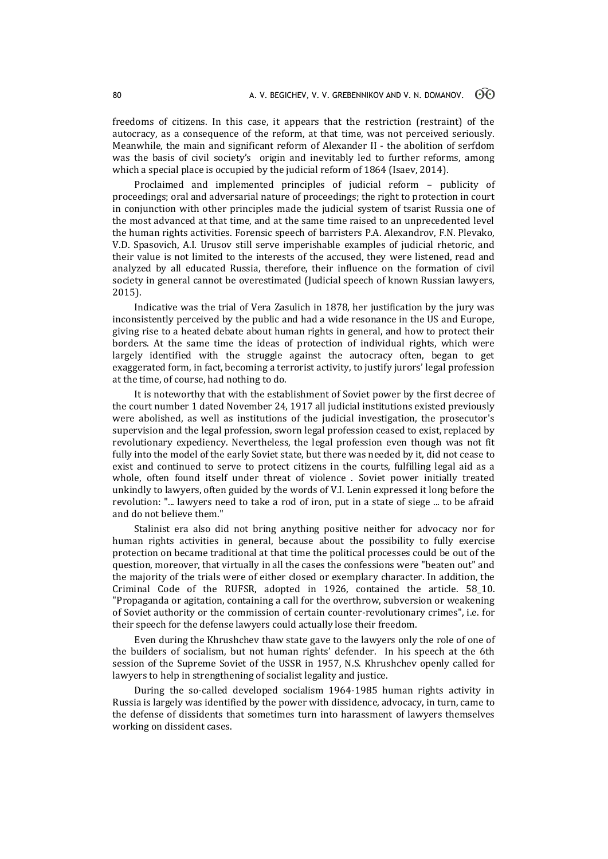freedoms of citizens. In this case, it appears that the restriction (restraint) of the autocracy, as a consequence of the reform, at that time, was not perceived seriously. Meanwhile, the main and significant reform of Alexander II - the abolition of serfdom was the basis of civil society's origin and inevitably led to further reforms, among which a special place is occupied by the judicial reform of 1864 (Isaev, 2014).

Proclaimed and implemented principles of judicial reform – publicity of proceedings; oral and adversarial nature of proceedings; the right to protection in court in conjunction with other principles made the judicial system of tsarist Russia one of the most advanced at that time, and at the same time raised to an unprecedented level the human rights activities. Forensic speech of barristers P.A. Alexandrov, F.N. Plevako, V.D. Spasovich, A.I. Urusov still serve imperishable examples of judicial rhetoric, and their value is not limited to the interests of the accused, they were listened, read and analyzed by all educated Russia, therefore, their influence on the formation of civil society in general cannot be overestimated (Judicial speech of known Russian lawyers, 2015).

Indicative was the trial of Vera Zasulich in 1878, her justification by the jury was inconsistently perceived by the public and had a wide resonance in the US and Europe, giving rise to a heated debate about human rights in general, and how to protect their borders. At the same time the ideas of protection of individual rights, which were largely identified with the struggle against the autocracy often, began to get exaggerated form, in fact, becoming a terrorist activity, to justify jurors' legal profession at the time, of course, had nothing to do.

It is noteworthy that with the establishment of Soviet power by the first decree of the court number 1 dated November 24, 1917 all judicial institutions existed previously were abolished, as well as institutions of the judicial investigation, the prosecutor's supervision and the legal profession, sworn legal profession ceased to exist, replaced by revolutionary expediency. Nevertheless, the legal profession even though was not fit fully into the model of the early Soviet state, but there was needed by it, did not cease to exist and continued to serve to protect citizens in the courts, fulfilling legal aid as a whole, often found itself under threat of violence . Soviet power initially treated unkindly to lawyers, often guided by the words of V.I. Lenin expressed it long before the revolution: "... lawyers need to take a rod of iron, put in a state of siege ... to be afraid and do not believe them."

Stalinist era also did not bring anything positive neither for advocacy nor for human rights activities in general, because about the possibility to fully exercise protection on became traditional at that time the political processes could be out of the question, moreover, that virtually in all the cases the confessions were "beaten out" and the majority of the trials were of either closed or exemplary character. In addition, the Criminal Code of the RUFSR, adopted in 1926, contained the article. 58\_10. "Propaganda or agitation, containing a call for the overthrow, subversion or weakening of Soviet authority or the commission of certain counter-revolutionary crimes", i.e. for their speech for the defense lawyers could actually lose their freedom.

Even during the Khrushchev thaw state gave to the lawyers only the role of one of the builders of socialism, but not human rights' defender. In his speech at the 6th session of the Supreme Soviet of the USSR in 1957, N.S. Khrushchev openly called for lawyers to help in strengthening of socialist legality and justice.

During the so-called developed socialism 1964-1985 human rights activity in Russia is largely was identified by the power with dissidence, advocacy, in turn, came to the defense of dissidents that sometimes turn into harassment of lawyers themselves working on dissident cases.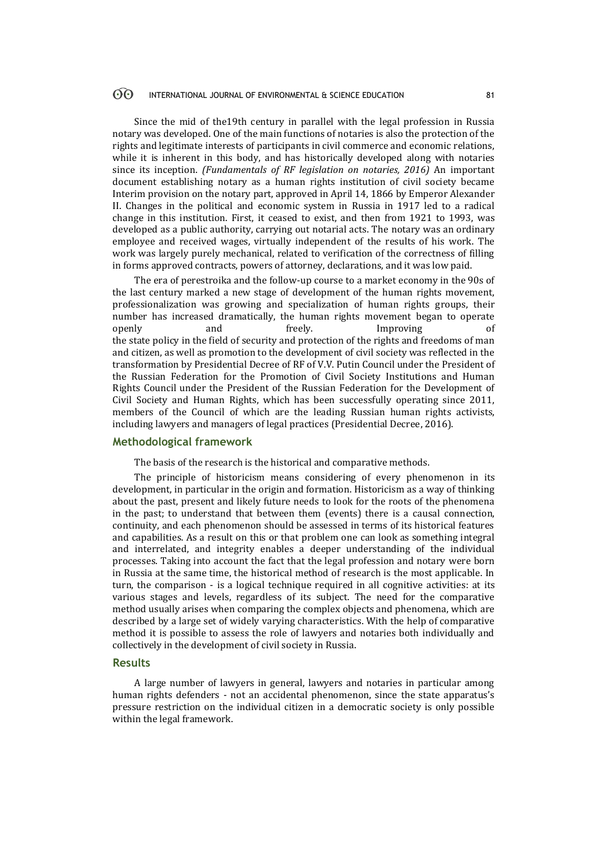#### $\odot$ INTERNATIONAL JOURNAL OF ENVIRONMENTAL & SCIENCE EDUCATION 81

Since the mid of the19th century in parallel with the legal profession in Russia notary was developed. One of the main functions of notaries is also the protection of the rights and legitimate interests of participants in civil commerce and economic relations, while it is inherent in this body, and has historically developed along with notaries since its inception. *(Fundamentals of RF legislation on notaries, 2016)* An important document establishing notary as a human rights institution of civil society became Interim provision on the notary part, approved in April 14, 1866 by Emperor Alexander II. Changes in the political and economic system in Russia in 1917 led to a radical change in this institution. First, it ceased to exist, and then from 1921 to 1993, was developed as a public authority, carrying out notarial acts. The notary was an ordinary employee and received wages, virtually independent of the results of his work. The work was largely purely mechanical, related to verification of the correctness of filling in forms approved contracts, powers of attorney, declarations, and it was low paid.

The era of perestroika and the follow-up course to a market economy in the 90s of the last century marked a new stage of development of the human rights movement, professionalization was growing and specialization of human rights groups, their number has increased dramatically, the human rights movement began to operate openly and freely. Improving of the state policy in the field of security and protection of the rights and freedoms of man and citizen, as well as promotion to the development of civil society was reflected in the transformation by Presidential Decree of RF of V.V. Putin Council under the President of the Russian Federation for the Promotion of Civil Society Institutions and Human Rights Council under the President of the Russian Federation for the Development of Civil Society and Human Rights, which has been successfully operating since 2011, members of the Council of which are the leading Russian human rights activists, including lawyers and managers of legal practices (Presidential Decree, 2016).

## **Methodological framework**

The basis of the research is the historical and comparative methods.

The principle of historicism means considering of every phenomenon in its development, in particular in the origin and formation. Historicism as a way of thinking about the past, present and likely future needs to look for the roots of the phenomena in the past; to understand that between them (events) there is a causal connection, continuity, and each phenomenon should be assessed in terms of its historical features and capabilities. As a result on this or that problem one can look as something integral and interrelated, and integrity enables a deeper understanding of the individual processes. Taking into account the fact that the legal profession and notary were born in Russia at the same time, the historical method of research is the most applicable. In turn, the comparison - is a logical technique required in all cognitive activities: at its various stages and levels, regardless of its subject. The need for the comparative method usually arises when comparing the complex objects and phenomena, which are described by a large set of widely varying characteristics. With the help of comparative method it is possible to assess the role of lawyers and notaries both individually and collectively in the development of civil society in Russia.

#### **Results**

A large number of lawyers in general, lawyers and notaries in particular among human rights defenders - not an accidental phenomenon, since the state apparatus's pressure restriction on the individual citizen in a democratic society is only possible within the legal framework.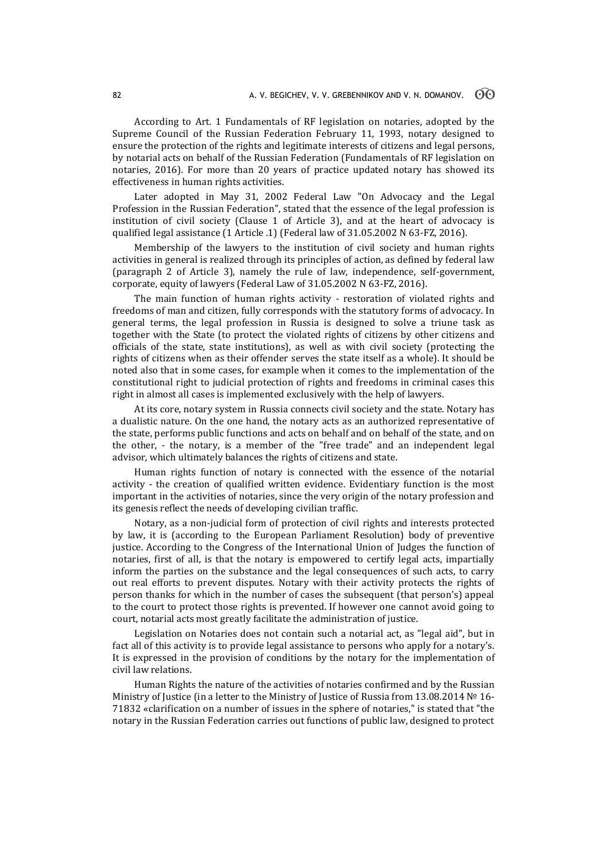According to Art. 1 Fundamentals of RF legislation on notaries, adopted by the Supreme Council of the Russian Federation February 11, 1993, notary designed to ensure the protection of the rights and legitimate interests of citizens and legal persons, by notarial acts on behalf of the Russian Federation (Fundamentals of RF legislation on notaries, 2016). For more than 20 years of practice updated notary has showed its effectiveness in human rights activities.

Later adopted in May 31, 2002 Federal Law "On Advocacy and the Legal Profession in the Russian Federation", stated that the essence of the legal profession is institution of civil society (Clause 1 of Article 3), and at the heart of advocacy is qualified legal assistance (1 Article .1) (Federal law of 31.05.2002 N 63-FZ, 2016).

Membership of the lawyers to the institution of civil society and human rights activities in general is realized through its principles of action, as defined by federal law (paragraph 2 of Article 3), namely the rule of law, independence, self-government, corporate, equity of lawyers (Federal Law of 31.05.2002 N 63-FZ, 2016).

The main function of human rights activity - restoration of violated rights and freedoms of man and citizen, fully corresponds with the statutory forms of advocacy. In general terms, the legal profession in Russia is designed to solve a triune task as together with the State (to protect the violated rights of citizens by other citizens and officials of the state, state institutions), as well as with civil society (protecting the rights of citizens when as their offender serves the state itself as a whole). It should be noted also that in some cases, for example when it comes to the implementation of the constitutional right to judicial protection of rights and freedoms in criminal cases this right in almost all cases is implemented exclusively with the help of lawyers.

At its core, notary system in Russia connects civil society and the state. Notary has a dualistic nature. On the one hand, the notary acts as an authorized representative of the state, performs public functions and acts on behalf and on behalf of the state, and on the other, - the notary, is a member of the "free trade" and an independent legal advisor, which ultimately balances the rights of citizens and state.

Human rights function of notary is connected with the essence of the notarial activity - the creation of qualified written evidence. Evidentiary function is the most important in the activities of notaries, since the very origin of the notary profession and its genesis reflect the needs of developing civilian traffic.

Notary, as a non-judicial form of protection of civil rights and interests protected by law, it is (according to the European Parliament Resolution) body of preventive justice. According to the Congress of the International Union of Judges the function of notaries, first of all, is that the notary is empowered to certify legal acts, impartially inform the parties on the substance and the legal consequences of such acts, to carry out real efforts to prevent disputes. Notary with their activity protects the rights of person thanks for which in the number of cases the subsequent (that person's) appeal to the court to protect those rights is prevented. If however one cannot avoid going to court, notarial acts most greatly facilitate the administration of justice.

Legislation on Notaries does not contain such a notarial act, as "legal aid", but in fact all of this activity is to provide legal assistance to persons who apply for a notary's. It is expressed in the provision of conditions by the notary for the implementation of civil law relations.

Human Rights the nature of the activities of notaries confirmed and by the Russian Ministry of Justice (in a letter to the Ministry of Justice of Russia from 13.08.2014 № 16- 71832 «clarification on a number of issues in the sphere of notaries," is stated that "the notary in the Russian Federation carries out functions of public law, designed to protect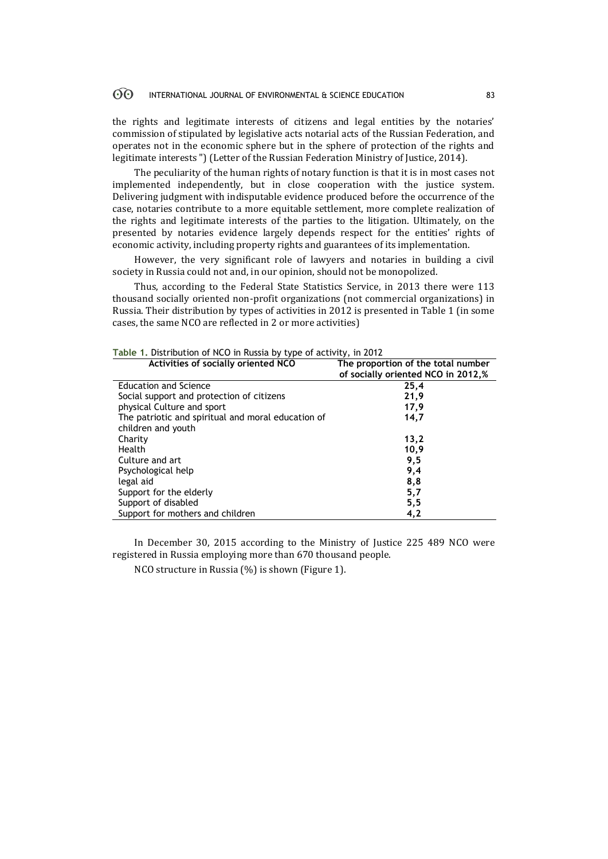#### $\odot$ INTERNATIONAL JOURNAL OF ENVIRONMENTAL & SCIENCE EDUCATION 83

the rights and legitimate interests of citizens and legal entities by the notaries' commission of stipulated by legislative acts notarial acts of the Russian Federation, and operates not in the economic sphere but in the sphere of protection of the rights and legitimate interests ") (Letter of the Russian Federation Ministry of Justice, 2014).

The peculiarity of the human rights of notary function is that it is in most cases not implemented independently, but in close cooperation with the justice system. Delivering judgment with indisputable evidence produced before the occurrence of the case, notaries contribute to a more equitable settlement, more complete realization of the rights and legitimate interests of the parties to the litigation. Ultimately, on the presented by notaries evidence largely depends respect for the entities' rights of economic activity, including property rights and guarantees of its implementation.

However, the very significant role of lawyers and notaries in building a civil society in Russia could not and, in our opinion, should not be monopolized.

Thus, according to the Federal State Statistics Service, in 2013 there were 113 thousand socially oriented non-profit organizations (not commercial organizations) in Russia. Their distribution by types of activities in 2012 is presented in Table 1 (in some cases, the same NCO are reflected in 2 or more activities)

| Activities of socially oriented NCO                                      | The proportion of the total number<br>of socially oriented NCO in 2012,% |  |  |
|--------------------------------------------------------------------------|--------------------------------------------------------------------------|--|--|
| Education and Science                                                    | 25,4                                                                     |  |  |
| Social support and protection of citizens                                | 21,9                                                                     |  |  |
| physical Culture and sport                                               | 17,9                                                                     |  |  |
| The patriotic and spiritual and moral education of<br>children and youth | 14,7                                                                     |  |  |
| Charity                                                                  | 13,2                                                                     |  |  |
| Health                                                                   | 10,9                                                                     |  |  |
| Culture and art                                                          | 9,5                                                                      |  |  |
| Psychological help                                                       | 9,4                                                                      |  |  |
| legal aid                                                                | 8,8                                                                      |  |  |
| Support for the elderly                                                  | 5,7                                                                      |  |  |
| Support of disabled                                                      | 5,5                                                                      |  |  |
| Support for mothers and children                                         | 4,2                                                                      |  |  |

|  | Table 1. Distribution of NCO in Russia by type of activity, in 2012 |  |  |  |  |  |
|--|---------------------------------------------------------------------|--|--|--|--|--|
|--|---------------------------------------------------------------------|--|--|--|--|--|

In December 30, 2015 according to the Ministry of Justice 225 489 NCO were registered in Russia employing more than 670 thousand people.

NCO structure in Russia (%) is shown (Figure 1).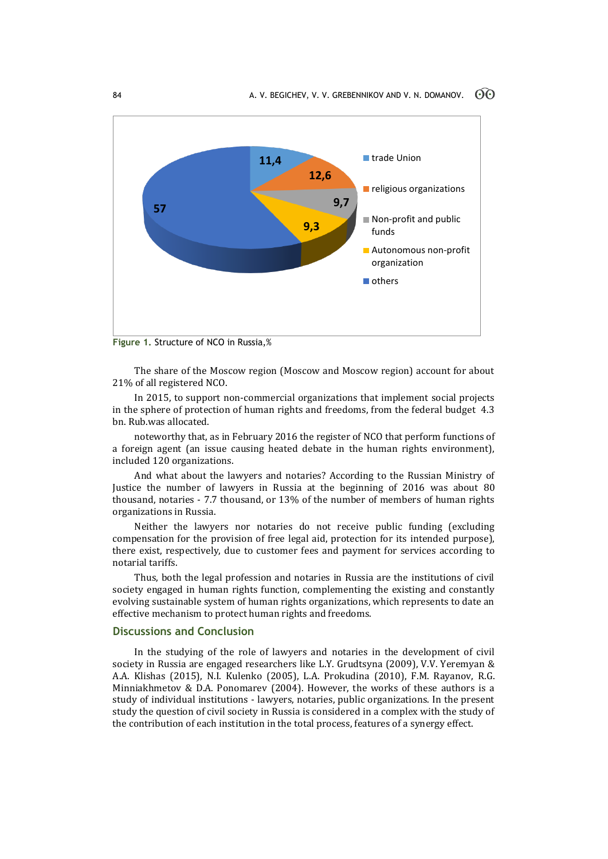

**Figure 1.** Structure of NCO in Russia,%

The share of the Moscow region (Moscow and Moscow region) account for about 21% of all registered NCO.

In 2015, to support non-commercial organizations that implement social projects in the sphere of protection of human rights and freedoms, from the federal budget 4.3 bn. Rub.was allocated.

noteworthy that, as in February 2016 the register of NCO that perform functions of a foreign agent (an issue causing heated debate in the human rights environment), included 120 organizations.

And what about the lawyers and notaries? According to the Russian Ministry of Justice the number of lawyers in Russia at the beginning of 2016 was about 80 thousand, notaries - 7.7 thousand, or 13% of the number of members of human rights organizations in Russia.

Neither the lawyers nor notaries do not receive public funding (excluding compensation for the provision of free legal aid, protection for its intended purpose), there exist, respectively, due to customer fees and payment for services according to notarial tariffs.

Thus, both the legal profession and notaries in Russia are the institutions of civil society engaged in human rights function, complementing the existing and constantly evolving sustainable system of human rights organizations, which represents to date an effective mechanism to protect human rights and freedoms.

### **Discussions and Conclusion**

In the studying of the role of lawyers and notaries in the development of civil society in Russia are engaged researchers like L.Y. Grudtsyna (2009), V.V. Yeremyan & A.A. Klishas (2015), N.I. Kulenko (2005), L.A. Prokudina (2010), F.M. Rayanov, R.G. Minniakhmetov & D.A. Ponomarev (2004). However, the works of these authors is a study of individual institutions - lawyers, notaries, public organizations. In the present study the question of civil society in Russia is considered in a complex with the study of the contribution of each institution in the total process, features of a synergy effect.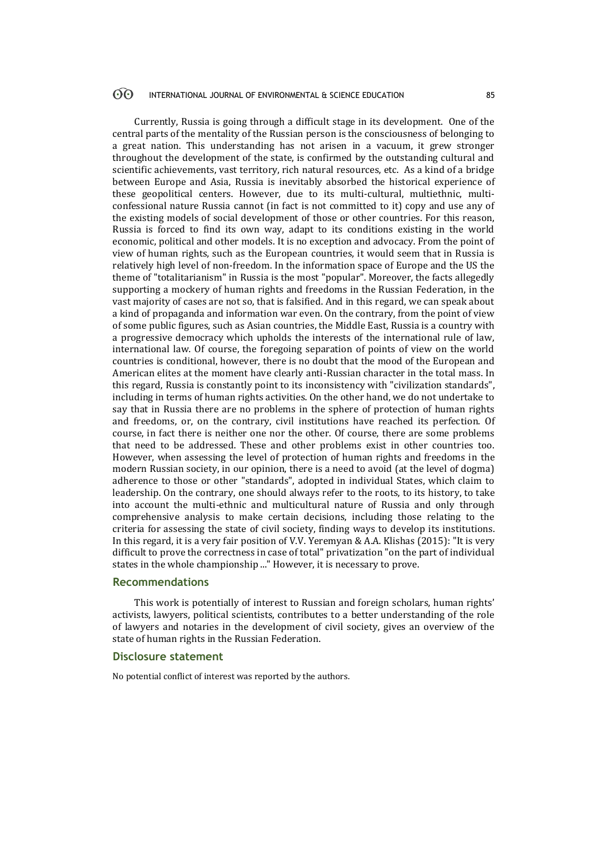#### $\odot$ INTERNATIONAL JOURNAL OF ENVIRONMENTAL & SCIENCE EDUCATION 85

Currently, Russia is going through a difficult stage in its development. One of the central parts of the mentality of the Russian person is the consciousness of belonging to a great nation. This understanding has not arisen in a vacuum, it grew stronger throughout the development of the state, is confirmed by the outstanding cultural and scientific achievements, vast territory, rich natural resources, etc. As a kind of a bridge between Europe and Asia, Russia is inevitably absorbed the historical experience of these geopolitical centers. However, due to its multi-cultural, multiethnic, multiconfessional nature Russia cannot (in fact is not committed to it) copy and use any of the existing models of social development of those or other countries. For this reason, Russia is forced to find its own way, adapt to its conditions existing in the world economic, political and other models. It is no exception and advocacy. From the point of view of human rights, such as the European countries, it would seem that in Russia is relatively high level of non-freedom. In the information space of Europe and the US the theme of "totalitarianism" in Russia is the most "popular". Moreover, the facts allegedly supporting a mockery of human rights and freedoms in the Russian Federation, in the vast majority of cases are not so, that is falsified. And in this regard, we can speak about a kind of propaganda and information war even. On the contrary, from the point of view of some public figures, such as Asian countries, the Middle East, Russia is a country with a progressive democracy which upholds the interests of the international rule of law, international law. Of course, the foregoing separation of points of view on the world countries is conditional, however, there is no doubt that the mood of the European and American elites at the moment have clearly anti-Russian character in the total mass. In this regard, Russia is constantly point to its inconsistency with "civilization standards", including in terms of human rights activities. On the other hand, we do not undertake to say that in Russia there are no problems in the sphere of protection of human rights and freedoms, or, on the contrary, civil institutions have reached its perfection. Of course, in fact there is neither one nor the other. Of course, there are some problems that need to be addressed. These and other problems exist in other countries too. However, when assessing the level of protection of human rights and freedoms in the modern Russian society, in our opinion, there is a need to avoid (at the level of dogma) adherence to those or other "standards", adopted in individual States, which claim to leadership. On the contrary, one should always refer to the roots, to its history, to take into account the multi-ethnic and multicultural nature of Russia and only through comprehensive analysis to make certain decisions, including those relating to the criteria for assessing the state of civil society, finding ways to develop its institutions. In this regard, it is a very fair position of V.V. Yeremyan & A.A. Klishas (2015): "It is very difficult to prove the correctness in case of total" privatization "on the part of individual states in the whole championship ..." However, it is necessary to prove.

#### **Recommendations**

This work is potentially of interest to Russian and foreign scholars, human rights' activists, lawyers, political scientists, contributes to a better understanding of the role of lawyers and notaries in the development of civil society, gives an overview of the state of human rights in the Russian Federation.

### **Disclosure statement**

No potential conflict of interest was reported by the authors.